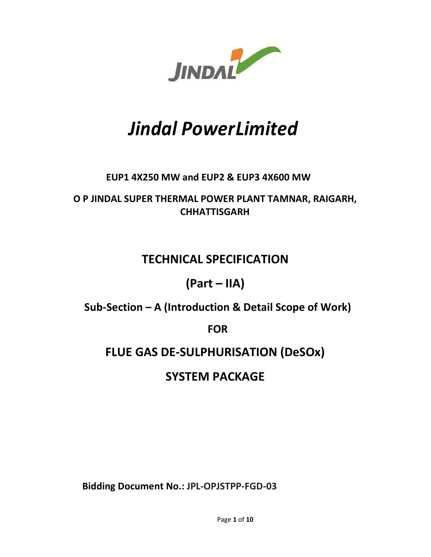

# *Jindal Power Limited*

### **EUP1 4X250 MW and EUP2 & EUP3 4X600 MW**

**O P JINDAL SUPER THERMAL POWER PLANT TAMNAR, RAIGARH, CHHATTISGARH** 

### **TECHNICAL SPECIFICATION**

### **(Part – IIA)**

**Sub-Section – A (Introduction & Detail Scope of Work)** 

**FOR** 

## **FLUE GAS DE-SULPHURISATION (DeSOx)**

### **SYSTEM PACKAGE**

**Bidding Document No.: JPL-OPJSTPP-FGD-03**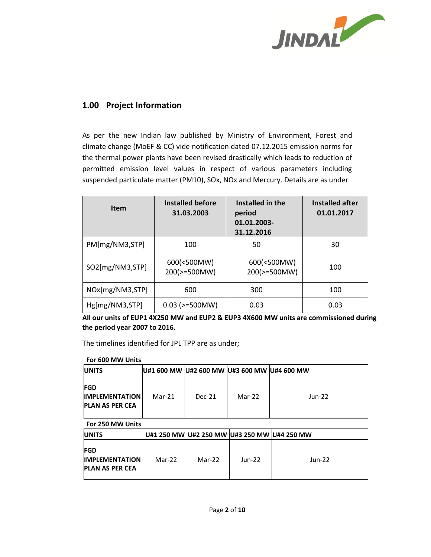

#### **1.00 Project Information**

As per the new Indian law published by Ministry of Environment, Forest and climate change (MoEF & CC) vide notification dated 07.12.2015 emission norms for the thermal power plants have been revised drastically which leads to reduction of permitted emission level values in respect of various parameters including suspended particulate matter (PM10), SOx, NOx and Mercury. Details are as under

| <b>Item</b>     | Installed before<br>31.03.2003 | Installed in the<br>period<br>01.01.2003-<br>31.12.2016 | Installed after<br>01.01.2017 |
|-----------------|--------------------------------|---------------------------------------------------------|-------------------------------|
| PM[mg/NM3,STP]  | 100                            | 50                                                      | 30                            |
| SO2[mg/NM3,STP] | 600(<500MW)<br>200(>=500MW)    | 600(<500MW)<br>200(>=500MW)                             | 100                           |
| NOx[mg/NM3,STP] | 600                            | 300                                                     | 100                           |
| Hg[mg/NM3,STP]  | $0.03$ ( $>=500$ MW)           | 0.03                                                    | 0.03                          |

**All our units of EUP1 4X250 MW and EUP2 & EUP3 4X600 MW units are commissioned during the period year 2007 to 2016.** 

The timelines identified for JPL TPP are as under;

| For 600 MW Units                                              |                                             |          |        |          |
|---------------------------------------------------------------|---------------------------------------------|----------|--------|----------|
| <b>UNITS</b>                                                  | U#1 600 MW U#2 600 MW U#3 600 MW U#4 600 MW |          |        |          |
| <b>FGD</b><br><b>IMPLEMENTATION</b><br><b>PLAN AS PER CEA</b> | Mar-21                                      | $Dec-21$ | Mar-22 | $Jun-22$ |

**For 250 MW Units** 

| <b>UNITS</b>                                                  |        | U#1 250 MW U#2 250 MW U#3 250 MW U#4 250 MW |        |        |
|---------------------------------------------------------------|--------|---------------------------------------------|--------|--------|
| <b>FGD</b><br><b>IMPLEMENTATION</b><br><b>PLAN AS PER CEA</b> | Mar-22 | Mar-22                                      | Jun-22 | Jun-22 |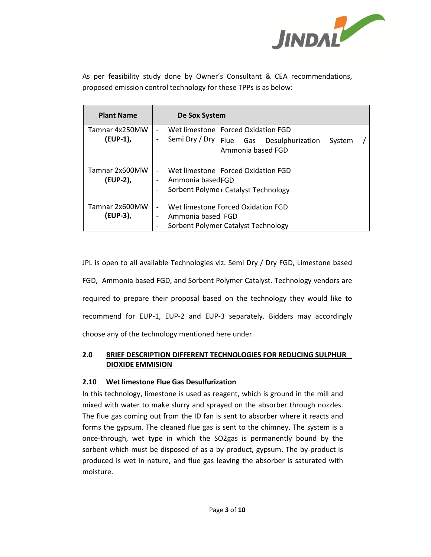

As per feasibility study done by Owner's Consultant & CEA recommendations, proposed emission control technology for these TPPs is as below:

| <b>Plant Name</b>          | De Sox System                                                                                                                                                                       |
|----------------------------|-------------------------------------------------------------------------------------------------------------------------------------------------------------------------------------|
| Tamnar 4x250MW<br>(EUP-1), | Wet limestone Forced Oxidation FGD<br>$\overline{\phantom{0}}$<br>Semi Dry / Dry Flue Gas Desulphurization<br>$\qquad \qquad -$                                                     |
|                            | System<br>Ammonia based FGD                                                                                                                                                         |
| Tamnar 2x600MW<br>(EUP-2), | Wet limestone Forced Oxidation FGD<br>$\overline{\phantom{0}}$<br>Ammonia basedFGD<br>$\overline{\phantom{0}}$<br>Sorbent Polymer Catalyst Technology<br>$\qquad \qquad -$          |
| Tamnar 2x600MW<br>(EUP-3), | Wet limestone Forced Oxidation FGD<br>$\qquad \qquad -$<br>Ammonia based FGD<br>$\qquad \qquad \blacksquare$<br>Sorbent Polymer Catalyst Technology<br>$\qquad \qquad \blacksquare$ |

JPL is open to all available Technologies viz. Semi Dry / Dry FGD, Limestone based FGD, Ammonia based FGD, and Sorbent Polymer Catalyst. Technology vendors are required to prepare their proposal based on the technology they would like to recommend for EUP-1, EUP-2 and EUP-3 separately. Bidders may accordingly choose any of the technology mentioned here under.

#### **2.0 BRIEF DESCRIPTION DIFFERENT TECHNOLOGIES FOR REDUCING SULPHUR DIOXIDE EMMISION**

#### **2.10 Wet limestone Flue Gas Desulfurization**

In this technology, limestone is used as reagent, which is ground in the mill and mixed with water to make slurry and sprayed on the absorber through nozzles. The flue gas coming out from the ID fan is sent to absorber where it reacts and forms the gypsum. The cleaned flue gas is sent to the chimney. The system is a once-through, wet type in which the SO2gas is permanently bound by the sorbent which must be disposed of as a by-product, gypsum. The by-product is produced is wet in nature, and flue gas leaving the absorber is saturated with moisture.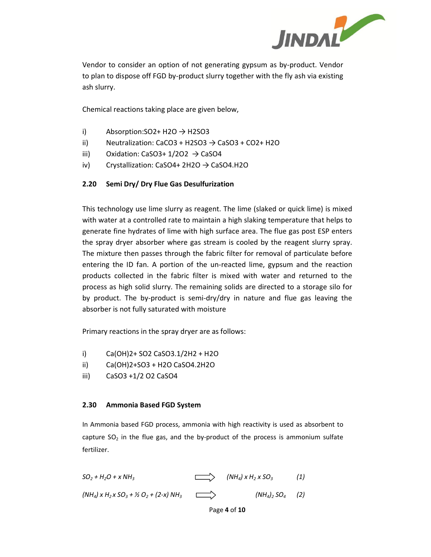

Vendor to consider an option of not generating gypsum as by-product. Vendor to plan to dispose off FGD by-product slurry together with the fly ash via existing ash slurry.

Chemical reactions taking place are given below,

- i) Absorption:  $SO2+H2O \rightarrow H2SO3$
- ii) Neutralization: CaCO3 + H2SO3  $\rightarrow$  CaSO3 + CO2+ H2O
- iii) Oxidation: CaSO3+  $1/2O2 \rightarrow CaSO4$
- iv) Crystallization: CaSO4+ 2H2O  $\rightarrow$  CaSO4.H2O

#### **2.20 Semi Dry/ Dry Flue Gas Desulfurization**

This technology use lime slurry as reagent. The lime (slaked or quick lime) is mixed with water at a controlled rate to maintain a high slaking temperature that helps to generate fine hydrates of lime with high surface area. The flue gas post ESP enters the spray dryer absorber where gas stream is cooled by the reagent slurry spray. The mixture then passes through the fabric filter for removal of particulate before entering the ID fan. A portion of the un-reacted lime, gypsum and the reaction products collected in the fabric filter is mixed with water and returned to the process as high solid slurry. The remaining solids are directed to a storage silo for by product. The by-product is semi-dry/dry in nature and flue gas leaving the absorber is not fully saturated with moisture

Primary reactions in the spray dryer are as follows:

- i) Ca(OH)2+ SO2 CaSO3.1/2H2 + H2O
- ii) Ca(OH)2+SO3 + H2O CaSO4.2H2O
- iii) CaSO3 +1/2 O2 CaSO4

#### **2.30 Ammonia Based FGD System**

In Ammonia based FGD process, ammonia with high reactivity is used as absorbent to capture  $SO_2$  in the flue gas, and the by-product of the process is ammonium sulfate fertilizer.

 $SO_2 + H_2O + xNH_3$  (NH<sub>4</sub>) x H<sub>2</sub> x SO<sub>3</sub> (1)  $(MH_4) \times H_2 \times SO_3 + \frac{1}{2}O_2 + (2-x) \cdot NH_3$  ( $(MH_4) \times SO_4$  (2)

Page **4** of **10**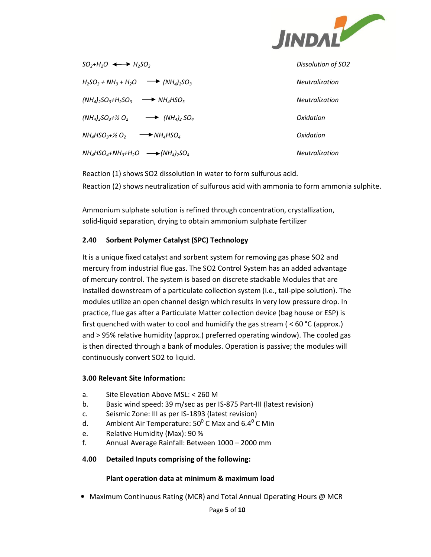

| $SO_2+H_2O \leftrightarrow H_2SO_3$                                         | Dissolution of SO2    |
|-----------------------------------------------------------------------------|-----------------------|
| $H_2SO_3 + NH_3 + H_2O \longrightarrow (NH_4)_2SO_3$                        | <b>Neutralization</b> |
| $(NH_4)_2SO_3+H_2SO_3$ $\longrightarrow$ $NH_4HSO_3$                        | Neutralization        |
| $(NH_4)_2SO_3+Y_2O_2 \longrightarrow (NH_4)_2SO_4$                          | Oxidation             |
| $NH_4$ HSO $_3$ +½ O $_2$<br>$\rightarrow$ NH <sub>A</sub> HSO <sub>A</sub> | Oxidation             |
| $NH_{4}HSO_{4}+NH_{3}+H_{2}O \longrightarrow (NH_{4})_{2}SO_{4}$            | <b>Neutralization</b> |

Reaction (1) shows SO2 dissolution in water to form sulfurous acid. Reaction (2) shows neutralization of sulfurous acid with ammonia to form ammonia sulphite.

Ammonium sulphate solution is refined through concentration, crystallization, solid-liquid separation, drying to obtain ammonium sulphate fertilizer

#### **2.40 Sorbent Polymer Catalyst (SPC) Technology**

It is a unique fixed catalyst and sorbent system for removing gas phase SO2 and mercury from industrial flue gas. The SO2 Control System has an added advantage of mercury control. The system is based on discrete stackable Modules that are installed downstream of a particulate collection system (i.e., tail-pipe solution). The modules utilize an open channel design which results in very low pressure drop. In practice, flue gas after a Particulate Matter collection device (bag house or ESP) is first quenched with water to cool and humidify the gas stream ( $<$  60 °C (approx.) and > 95% relative humidity (approx.) preferred operating window). The cooled gas is then directed through a bank of modules. Operation is passive; the modules will continuously convert SO2 to liquid.

#### **3.00 Relevant Site Information:**

- a. Site Elevation Above MSL: < 260 M
- b. Basic wind speed: 39 m/sec as per IS-875 Part-III (latest revision)
- c. Seismic Zone: III as per IS-1893 (latest revision)
- d. Ambient Air Temperature:  $50^0$  C Max and 6.4<sup>0</sup> C Min
- e. Relative Humidity (Max): 90 %
- f. Annual Average Rainfall: Between 1000 2000 mm

#### **4.00 Detailed Inputs comprising of the following:**

#### **Plant operation data at minimum & maximum load**

• Maximum Continuous Rating (MCR) and Total Annual Operating Hours @ MCR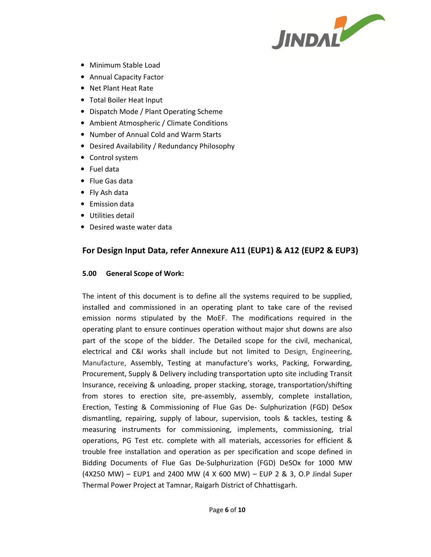

- Minimum Stable Load
- Annual Capacity Factor
- Net Plant Heat Rate
- Total Boiler Heat Input
- Dispatch Mode / Plant Operating Scheme
- Ambient Atmospheric / Climate Conditions
- Number of Annual Cold and Warm Starts
- Desired Availability / Redundancy Philosophy
- Control system
- Fuel data
- Flue Gas data
- Fly Ash data
- Emission data
- Utilities detail
- Desired waste water data

#### **For Design Input Data, refer Annexure A11 (EUP1) & A12 (EUP2 & EUP3)**

#### **5.00 General Scope of Work:**

The intent of this document is to define all the systems required to be supplied, installed and commissioned in an operating plant to take care of the revised emission norms stipulated by the MoEF. The modifications required in the operating plant to ensure continues operation without major shut downs are also part of the scope of the bidder. The Detailed scope for the civil, mechanical, electrical and C&I works shall include but not limited to Design, Engineering, Manufacture, Assembly, Testing at manufacture's works, Packing, Forwarding, Procurement, Supply & Delivery including transportation upto site including Transit Insurance, receiving & unloading, proper stacking, storage, transportation/shifting from stores to erection site, pre-assembly, assembly, complete installation, Erection, Testing & Commissioning of Flue Gas De- Sulphurization (FGD) DeSox dismantling, repairing, supply of labour, supervision, tools & tackles, testing & measuring instruments for commissioning, implements, commissioning, trial operations, PG Test etc. complete with all materials, accessories for efficient & trouble free installation and operation as per specification and scope defined in Bidding Documents of Flue Gas De-Sulphurization (FGD) DeSOx for 1000 MW (4X250 MW) – EUP1 and 2400 MW (4 X 600 MW) – EUP 2 & 3, O.P Jindal Super Thermal Power Project at Tamnar, Raigarh District of Chhattisgarh.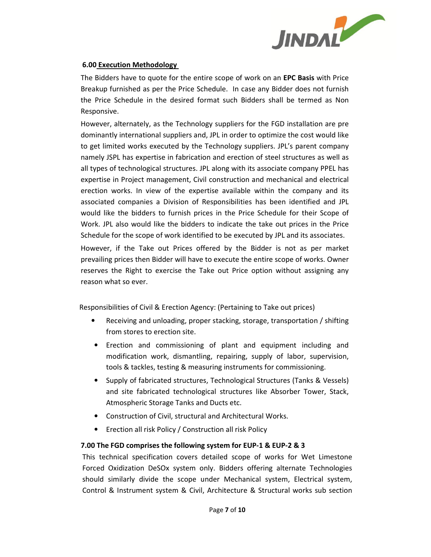

#### **6.00 Execution Methodology**

The Bidders have to quote for the entire scope of work on an **EPC Basis** with Price Breakup furnished as per the Price Schedule. In case any Bidder does not furnish the Price Schedule in the desired format such Bidders shall be termed as Non Responsive.

However, alternately, as the Technology suppliers for the FGD installation are pre dominantly international suppliers and, JPL in order to optimize the cost would like to get limited works executed by the Technology suppliers. JPL's parent company namely JSPL has expertise in fabrication and erection of steel structures as well as all types of technological structures. JPL along with its associate company PPEL has expertise in Project management, Civil construction and mechanical and electrical erection works. In view of the expertise available within the company and its associated companies a Division of Responsibilities has been identified and JPL would like the bidders to furnish prices in the Price Schedule for their Scope of Work. JPL also would like the bidders to indicate the take out prices in the Price Schedule for the scope of work identified to be executed by JPL and its associates.

However, if the Take out Prices offered by the Bidder is not as per market prevailing prices then Bidder will have to execute the entire scope of works. Owner reserves the Right to exercise the Take out Price option without assigning any reason what so ever.

Responsibilities of Civil & Erection Agency: (Pertaining to Take out prices)

- Receiving and unloading, proper stacking, storage, transportation / shifting from stores to erection site.
- Erection and commissioning of plant and equipment including and modification work, dismantling, repairing, supply of labor, supervision, tools & tackles, testing & measuring instruments for commissioning.
- Supply of fabricated structures, Technological Structures (Tanks & Vessels) and site fabricated technological structures like Absorber Tower, Stack, Atmospheric Storage Tanks and Ducts etc.
- Construction of Civil, structural and Architectural Works.
- Erection all risk Policy / Construction all risk Policy

#### **7.00 The FGD comprises the following system for EUP-1 & EUP-2 & 3**

This technical specification covers detailed scope of works for Wet Limestone Forced Oxidization DeSOx system only. Bidders offering alternate Technologies should similarly divide the scope under Mechanical system, Electrical system, Control & Instrument system & Civil, Architecture & Structural works sub section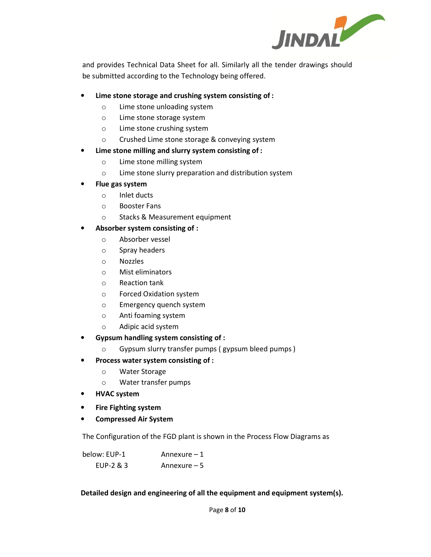

and provides Technical Data Sheet for all. Similarly all the tender drawings should be submitted according to the Technology being offered.

#### • **Lime stone storage and crushing system consisting of :**

- o Lime stone unloading system
- o Lime stone storage system
- o Lime stone crushing system
- o Crushed Lime stone storage & conveying system

#### • **Lime stone milling and slurry system consisting of :**

- o Lime stone milling system
- o Lime stone slurry preparation and distribution system
- **Flue gas system** 
	- o Inlet ducts
	- o Booster Fans
	- o Stacks & Measurement equipment

#### • **Absorber system consisting of :**

- o Absorber vessel
- o Spray headers
- o Nozzles
- o Mist eliminators
- o Reaction tank
- o Forced Oxidation system
- o Emergency quench system
- o Anti foaming system
- o Adipic acid system
- **Gypsum handling system consisting of :** 
	- o Gypsum slurry transfer pumps ( gypsum bleed pumps )
- **Process water system consisting of :** 
	- o Water Storage
	- o Water transfer pumps
- **HVAC system**
- **Fire Fighting system**
- **Compressed Air System**

The Configuration of the FGD plant is shown in the Process Flow Diagrams as

| below: EUP-1 | Annexure $-1$ |
|--------------|---------------|
| EUP-2 & 3    | Annexure $-5$ |

**Detailed design and engineering of all the equipment and equipment system(s).**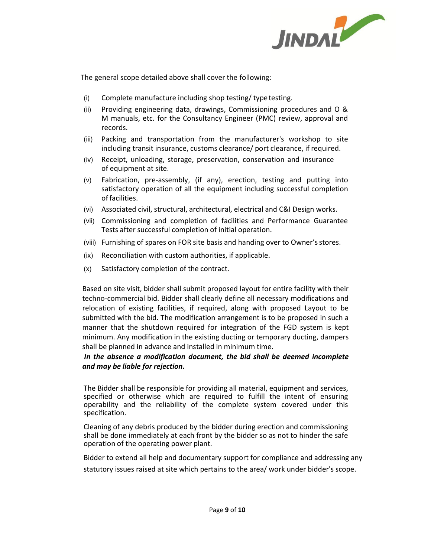

The general scope detailed above shall cover the following:

- (i) Complete manufacture including shop testing/ type testing.
- (ii) Providing engineering data, drawings, Commissioning procedures and O & M manuals, etc. for the Consultancy Engineer (PMC) review, approval and records.
- (iii) Packing and transportation from the manufacturer's workshop to site including transit insurance, customs clearance/ port clearance, if required.
- (iv) Receipt, unloading, storage, preservation, conservation and insurance of equipment at site.
- (v) Fabrication, pre-assembly, (if any), erection, testing and putting into satisfactory operation of all the equipment including successful completion of facilities.
- (vi) Associated civil, structural, architectural, electrical and C&I Design works.
- (vii) Commissioning and completion of facilities and Performance Guarantee Tests after successful completion of initial operation.
- (viii) Furnishing of spares on FOR site basis and handing over to Owner's stores.
- (ix) Reconciliation with custom authorities, if applicable.
- (x) Satisfactory completion of the contract.

Based on site visit, bidder shall submit proposed layout for entire facility with their techno-commercial bid. Bidder shall clearly define all necessary modifications and relocation of existing facilities, if required, along with proposed Layout to be submitted with the bid. The modification arrangement is to be proposed in such a manner that the shutdown required for integration of the FGD system is kept minimum. Any modification in the existing ducting or temporary ducting, dampers shall be planned in advance and installed in minimum time.

#### *In the absence a modification document, the bid shall be deemed incomplete and may be liable for rejection.*

The Bidder shall be responsible for providing all material, equipment and services, specified or otherwise which are required to fulfill the intent of ensuring operability and the reliability of the complete system covered under this specification.

Cleaning of any debris produced by the bidder during erection and commissioning shall be done immediately at each front by the bidder so as not to hinder the safe operation of the operating power plant.

Bidder to extend all help and documentary support for compliance and addressing any statutory issues raised at site which pertains to the area/ work under bidder's scope.